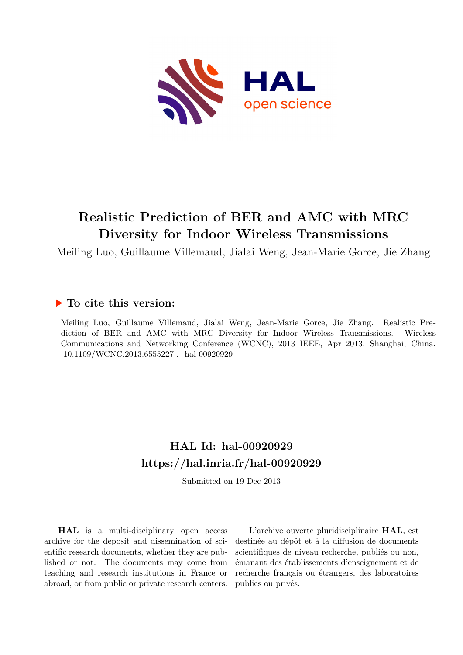

## **Realistic Prediction of BER and AMC with MRC Diversity for Indoor Wireless Transmissions**

Meiling Luo, Guillaume Villemaud, Jialai Weng, Jean-Marie Gorce, Jie Zhang

### **To cite this version:**

Meiling Luo, Guillaume Villemaud, Jialai Weng, Jean-Marie Gorce, Jie Zhang. Realistic Prediction of BER and AMC with MRC Diversity for Indoor Wireless Transmissions. Wireless Communications and Networking Conference (WCNC), 2013 IEEE, Apr 2013, Shanghai, China. 10.1109/WCNC.2013.6555227 hal-00920929

## **HAL Id: hal-00920929 <https://hal.inria.fr/hal-00920929>**

Submitted on 19 Dec 2013

**HAL** is a multi-disciplinary open access archive for the deposit and dissemination of scientific research documents, whether they are published or not. The documents may come from teaching and research institutions in France or abroad, or from public or private research centers.

L'archive ouverte pluridisciplinaire **HAL**, est destinée au dépôt et à la diffusion de documents scientifiques de niveau recherche, publiés ou non, émanant des établissements d'enseignement et de recherche français ou étrangers, des laboratoires publics ou privés.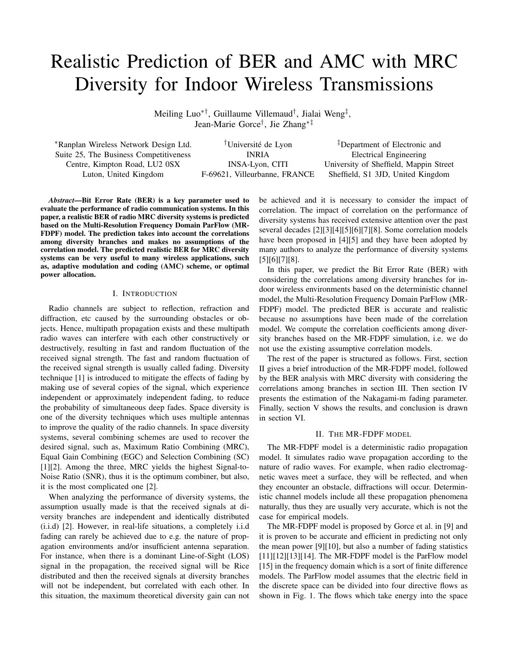# Realistic Prediction of BER and AMC with MRC Diversity for Indoor Wireless Transmissions

Meiling Luo∗†, Guillaume Villemaud† , Jialai Weng‡ , Jean-Marie Gorce† , Jie Zhang∗‡

<sup>∗</sup>Ranplan Wireless Network Design Ltd. †Universite de Lyon ´

‡Department of Electronic and Suite 25, The Business Competitiveness **INRIA** Electrical Engineering Centre, Kimpton Road, LU2 0SX INSA-Lyon, CITI University of Sheffield, Mappin Street Luton, United Kingdom F-69621, Villeurbanne, FRANCE Sheffield, S1 3JD, United Kingdom

*Abstract*—Bit Error Rate (BER) is a key parameter used to evaluate the performance of radio communication systems. In this paper, a realistic BER of radio MRC diversity systems is predicted based on the Multi-Resolution Frequency Domain ParFlow (MR-FDPF) model. The prediction takes into account the correlations among diversity branches and makes no assumptions of the correlation model. The predicted realistic BER for MRC diversity systems can be very useful to many wireless applications, such as, adaptive modulation and coding (AMC) scheme, or optimal power allocation.

#### I. INTRODUCTION

Radio channels are subject to reflection, refraction and diffraction, etc caused by the surrounding obstacles or objects. Hence, multipath propagation exists and these multipath radio waves can interfere with each other constructively or destructively, resulting in fast and random fluctuation of the received signal strength. The fast and random fluctuation of the received signal strength is usually called fading. Diversity technique [1] is introduced to mitigate the effects of fading by making use of several copies of the signal, which experience independent or approximately independent fading, to reduce the probability of simultaneous deep fades. Space diversity is one of the diversity techniques which uses multiple antennas to improve the quality of the radio channels. In space diversity systems, several combining schemes are used to recover the desired signal, such as, Maximum Ratio Combining (MRC), Equal Gain Combining (EGC) and Selection Combining (SC) [1][2]. Among the three, MRC yields the highest Signal-to-Noise Ratio (SNR), thus it is the optimum combiner, but also, it is the most complicated one [2].

When analyzing the performance of diversity systems, the assumption usually made is that the received signals at diversity branches are independent and identically distributed (i.i.d) [2]. However, in real-life situations, a completely i.i.d fading can rarely be achieved due to e.g. the nature of propagation environments and/or insufficient antenna separation. For instance, when there is a dominant Line-of-Sight (LOS) signal in the propagation, the received signal will be Rice distributed and then the received signals at diversity branches will not be independent, but correlated with each other. In this situation, the maximum theoretical diversity gain can not be achieved and it is necessary to consider the impact of correlation. The impact of correlation on the performance of diversity systems has received extensive attention over the past several decades [2][3][4][5][6][7][8]. Some correlation models have been proposed in [4][5] and they have been adopted by many authors to analyze the performance of diversity systems [5][6][7][8].

In this paper, we predict the Bit Error Rate (BER) with considering the correlations among diversity branches for indoor wireless environments based on the deterministic channel model, the Multi-Resolution Frequency Domain ParFlow (MR-FDPF) model. The predicted BER is accurate and realistic because no assumptions have been made of the correlation model. We compute the correlation coefficients among diversity branches based on the MR-FDPF simulation, i.e. we do not use the existing assumptive correlation models.

The rest of the paper is structured as follows. First, section II gives a brief introduction of the MR-FDPF model, followed by the BER analysis with MRC diversity with considering the correlations among branches in section III. Then section IV presents the estimation of the Nakagami-m fading parameter. Finally, section V shows the results, and conclusion is drawn in section VI.

#### II. THE MR-FDPF MODEL

The MR-FDPF model is a deterministic radio propagation model. It simulates radio wave propagation according to the nature of radio waves. For example, when radio electromagnetic waves meet a surface, they will be reflected, and when they encounter an obstacle, diffractions will occur. Deterministic channel models include all these propagation phenomena naturally, thus they are usually very accurate, which is not the case for empirical models.

The MR-FDPF model is proposed by Gorce et al. in [9] and it is proven to be accurate and efficient in predicting not only the mean power [9][10], but also a number of fading statistics  $[11][12][13][14]$ . The MR-FDPF model is the ParFlow model [15] in the frequency domain which is a sort of finite difference models. The ParFlow model assumes that the electric field in the discrete space can be divided into four directive flows as shown in Fig. 1. The flows which take energy into the space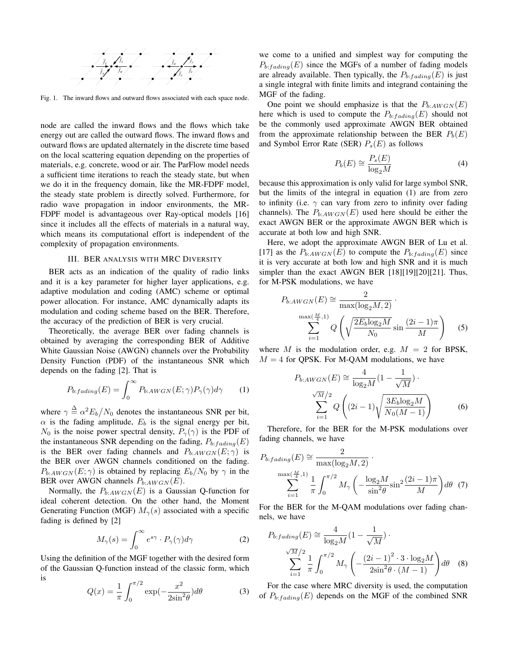

Fig. 1. The inward flows and outward flows associated with each space node.

node are called the inward flows and the flows which take energy out are called the outward flows. The inward flows and outward flows are updated alternately in the discrete time based on the local scattering equation depending on the properties of materials, e.g. concrete, wood or air. The ParFlow model needs a sufficient time iterations to reach the steady state, but when we do it in the frequency domain, like the MR-FDPF model, the steady state problem is directly solved. Furthermore, for radio wave propagation in indoor environments, the MR-FDPF model is advantageous over Ray-optical models [16] since it includes all the effects of materials in a natural way, which means its computational effort is independent of the complexity of propagation environments.

#### III. BER ANALYSIS WITH MRC DIVERSITY

BER acts as an indication of the quality of radio links and it is a key parameter for higher layer applications, e.g. adaptive modulation and coding (AMC) scheme or optimal power allocation. For instance, AMC dynamically adapts its modulation and coding scheme based on the BER. Therefore, the accuracy of the prediction of BER is very crucial.

Theoretically, the average BER over fading channels is obtained by averaging the corresponding BER of Additive White Gaussian Noise (AWGN) channels over the Probability Density Function (PDF) of the instantaneous SNR which depends on the fading [2]. That is

$$
P_{b:fading}(E) = \int_0^\infty P_{b:AWGN}(E; \gamma) P_\gamma(\gamma) d\gamma \tag{1}
$$

where  $\gamma \triangleq \alpha^2 E_b/N_0$  denotes the instantaneous SNR per bit,  $\alpha$  is the fading amplitude,  $E_b$  is the signal energy per bit,  $N_0$  is the noise power spectral density,  $P_{\gamma}(\gamma)$  is the PDF of the instantaneous SNR depending on the fading,  $P_{b:fding}(E)$ is the BER over fading channels and  $P_{b:AWGN}(E;\gamma)$  is the BER over AWGN channels conditioned on the fading.  $P_{b:AWGN}(E;\gamma)$  is obtained by replacing  $E_b/N_0$  by  $\gamma$  in the BER over AWGN channels  $P_{b:AWGN}(E)$ .

Normally, the  $P_{b:AWGN}(E)$  is a Gaussian Q-function for ideal coherent detection. On the other hand, the Moment Generating Function (MGF)  $M_{\gamma}(s)$  associated with a specific fading is defined by [2]

$$
M_{\gamma}(s) = \int_0^{\infty} e^{s\gamma} \cdot P_{\gamma}(\gamma) d\gamma \tag{2}
$$

Using the definition of the MGF together with the desired form of the Gaussian Q-function instead of the classic form, which is

$$
Q(x) = \frac{1}{\pi} \int_0^{\pi/2} \exp(-\frac{x^2}{2\sin^2\theta}) d\theta \tag{3}
$$

we come to a unified and simplest way for computing the  $P_{b:\text{fading}}(E)$  since the MGFs of a number of fading models are already available. Then typically, the  $P_{b:\text{fading}}(E)$  is just a single integral with finite limits and integrand containing the MGF of the fading.

One point we should emphasize is that the  $P_{b:AWGN}(E)$ here which is used to compute the  $P_{b:\text{fading}}(E)$  should not be the commonly used approximate AWGN BER obtained from the approximate relationship between the BER  $P<sub>b</sub>(E)$ and Symbol Error Rate (SER)  $P_s(E)$  as follows

$$
P_b(E) \cong \frac{P_s(E)}{\log_2 M} \tag{4}
$$

because this approximation is only valid for large symbol SNR, but the limits of the integral in equation (1) are from zero to infinity (i.e.  $\gamma$  can vary from zero to infinity over fading channels). The  $P_{b:AWGN}(E)$  used here should be either the exact AWGN BER or the approximate AWGN BER which is accurate at both low and high SNR.

Here, we adopt the approximate AWGN BER of Lu et al. [17] as the  $P_{b:AWGN}(E)$  to compute the  $P_{b:fding}(E)$  since it is very accurate at both low and high SNR and it is much simpler than the exact AWGN BER [18][19][20][21]. Thus, for M-PSK modulations, we have

$$
P_{b:AWGN}(E) \cong \frac{2}{\max(\log_2 M, 2)} \cdot \frac{\max(\log_2 M, 2)}{N_0} \cdot \frac{\max(\frac{M}{4}, 1)}{N_0} Q\left(\sqrt{\frac{2E_b \log_2 M}{N_0}} \sin \frac{(2i - 1)\pi}{M}\right) \quad (5)
$$

where M is the modulation order, e.g.  $M = 2$  for BPSK,  $M = 4$  for QPSK. For M-QAM modulations, we have

$$
P_{b:AWGN}(E) \cong \frac{4}{\log_2 M} (1 - \frac{1}{\sqrt{M}}) \cdot \frac{\sqrt{M}/2}{\sum_{i=1}^{\sqrt{M}/2} Q\left((2i-1)\sqrt{\frac{3E_b \log_2 M}{N_0 (M-1)}}\right)}
$$
(6)

Therefore, for the BER for the M-PSK modulations over fading channels, we have

$$
P_{b:fading}(E) \cong \frac{2}{\max(\log_2 M, 2)}.
$$

$$
\sum_{i=1}^{\max(\frac{M}{4}, 1)} \frac{1}{\pi} \int_0^{\pi/2} M_\gamma \left( -\frac{\log_2 M}{\sin^2 \theta} \sin^2 \frac{(2i-1)\pi}{M} \right) d\theta \quad (7)
$$

For the BER for the M-QAM modulations over fading channels, we have

$$
P_{b:\text{fading}}(E) \cong \frac{4}{\log_2 M} \left(1 - \frac{1}{\sqrt{M}}\right) \cdot \frac{\sqrt{M}/2}{\sum_{i=1}^{\sqrt{M}/2} \frac{1}{\pi} \int_0^{\pi/2} M_\gamma \left(-\frac{\left(2i-1\right)^2 \cdot 3 \cdot \log_2 M}{2\sin^2 \theta \cdot (M-1)}\right) d\theta \quad (8)
$$

For the case where MRC diversity is used, the computation of  $P_{b:\text{fading}}(E)$  depends on the MGF of the combined SNR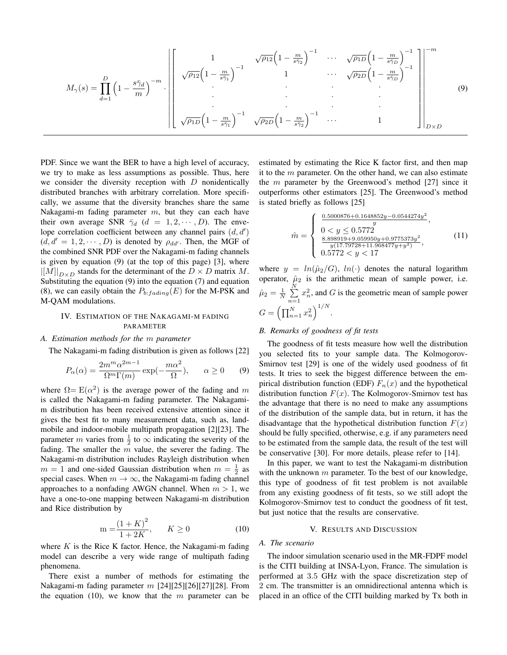$$
M_{\gamma}(s) = \prod_{d=1}^{D} \left(1 - \frac{s\bar{\gamma}_d}{m}\right)^{-m} \cdot \left[\n\begin{bmatrix}\n1 & \sqrt{\rho_{12}}\left(1 - \frac{m}{s\bar{\gamma}_1}\right)^{-1} & \cdots & \sqrt{\rho_{1D}}\left(1 - \frac{m}{s\bar{\gamma}_D}\right)^{-1} \\
\sqrt{\rho_{12}}\left(1 - \frac{m}{s\bar{\gamma}_1}\right)^{-1} & 1 & \cdots & \sqrt{\rho_{2D}}\left(1 - \frac{m}{s\bar{\gamma}_D}\right)^{-1}\n\end{bmatrix}\n\right]_{D \times D}^{m}
$$
\n(9)

PDF. Since we want the BER to have a high level of accuracy, we try to make as less assumptions as possible. Thus, here we consider the diversity reception with  $D$  nonidentically distributed branches with arbitrary correlation. More specifically, we assume that the diversity branches share the same Nakagami-m fading parameter  $m$ , but they can each have their own average SNR  $\bar{\gamma}_d$  ( $d = 1, 2, \cdots, D$ ). The envelope correlation coefficient between any channel pairs  $(d, d')$  $(d, d' = 1, 2, \dots, D)$  is denoted by  $\rho_{dd'}$ . Then, the MGF of the combined SNR PDF over the Nakagami-m fading channels is given by equation (9) (at the top of this page) [3], where  $\|[M]\|_{D\times D}$  stands for the determinant of the  $D \times D$  matrix M. Substituting the equation (9) into the equation (7) and equation (8), we can easily obtain the  $P_{b:\text{fading}}(E)$  for the M-PSK and M-QAM modulations.

#### IV. ESTIMATION OF THE NAKAGAMI-M FADING PARAMETER

#### *A. Estimation methods for the* m *parameter*

The Nakagami-m fading distribution is given as follows [22]

$$
P_{\alpha}(\alpha) = \frac{2m^m \alpha^{2m-1}}{\Omega^m \Gamma(m)} \exp(-\frac{m\alpha^2}{\Omega}), \qquad \alpha \ge 0 \qquad (9)
$$

where  $\Omega = E(\alpha^2)$  is the average power of the fading and m is called the Nakagami-m fading parameter. The Nakagamim distribution has been received extensive attention since it gives the best fit to many measurement data, such as, landmobile and indoor-mobile multipath propagation [2][23]. The parameter *m* varies from  $\frac{1}{2}$  to  $\infty$  indicating the severity of the fading. The smaller the  $m$  value, the severer the fading. The Nakagami-m distribution includes Rayleigh distribution when  $m = 1$  and one-sided Gaussian distribution when  $m = \frac{1}{2}$  as special cases. When  $m \to \infty$ , the Nakagami-m fading channel approaches to a nonfading AWGN channel. When  $m > 1$ , we have a one-to-one mapping between Nakagami-m distribution and Rice distribution by

$$
m = \frac{(1 + K)^2}{1 + 2K}, \qquad K \ge 0
$$
 (10)

where  $K$  is the Rice K factor. Hence, the Nakagami-m fading model can describe a very wide range of multipath fading phenomena.

There exist a number of methods for estimating the Nakagami-m fading parameter  $m$  [24][25][26][27][28]. From the equation (10), we know that the  $m$  parameter can be

estimated by estimating the Rice K factor first, and then map it to the  $m$  parameter. On the other hand, we can also estimate the  $m$  parameter by the Greenwood's method [27] since it outperforms other estimators [25]. The Greenwood's method is stated briefly as follows [25]

$$
\hat{m} = \begin{cases}\n\frac{0.5000876 + 0.1648852y - 0.0544274y^2}{y},\\ \n0 < y \le 0.5772,\\ \n\frac{8.898919 + 9.059950y + 0.9775373y^2}{y(17.79728 + 11.968477y + y^2)},\\ \n0.5772 < y < 17\n\end{cases}
$$
\n(11)

where  $y = ln(\hat{\mu}_2/G)$ ,  $ln(\cdot)$  denotes the natural logarithm operator,  $\hat{\mu}_2$  is the arithmetic mean of sample power, i.e.  $\hat{\mu}_2 = \frac{1}{N} \sum_{n=1}^{N} x_n^2$ , and G is the geometric mean of sample power  $n=1$  $G = \left(\prod_{n=1}^{N} x_n^2\right)^{1/N}.$ 

#### *B. Remarks of goodness of fit tests*

The goodness of fit tests measure how well the distribution you selected fits to your sample data. The Kolmogorov-Smirnov test [29] is one of the widely used goodness of fit tests. It tries to seek the biggest difference between the empirical distribution function (EDF)  $F_n(x)$  and the hypothetical distribution function  $F(x)$ . The Kolmogorov-Smirnov test has the advantage that there is no need to make any assumptions of the distribution of the sample data, but in return, it has the disadvantage that the hypothetical distribution function  $F(x)$ should be fully specified, otherwise, e.g. if any parameters need to be estimated from the sample data, the result of the test will be conservative [30]. For more details, please refer to [14].

In this paper, we want to test the Nakagami-m distribution with the unknown  $m$  parameter. To the best of our knowledge, this type of goodness of fit test problem is not available from any existing goodness of fit tests, so we still adopt the Kolmogorov-Smirnov test to conduct the goodness of fit test, but just notice that the results are conservative.

#### V. RESULTS AND DISCUSSION

#### *A. The scenario*

The indoor simulation scenario used in the MR-FDPF model is the CITI building at INSA-Lyon, France. The simulation is performed at 3.5 GHz with the space discretization step of 2 cm. The transmitter is an omnidirectional antenna which is placed in an office of the CITI building marked by Tx both in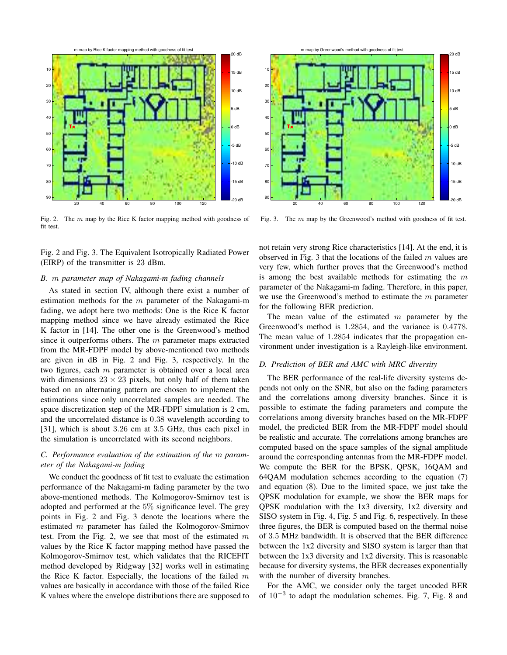

Fig. 2. The  $m$  map by the Rice K factor mapping method with goodness of fit test.

Fig. 2 and Fig. 3. The Equivalent Isotropically Radiated Power (EIRP) of the transmitter is 23 dBm.

#### *B.* m *parameter map of Nakagami-m fading channels*

As stated in section IV, although there exist a number of estimation methods for the  $m$  parameter of the Nakagami-m fading, we adopt here two methods: One is the Rice K factor mapping method since we have already estimated the Rice K factor in [14]. The other one is the Greenwood's method since it outperforms others. The  $m$  parameter maps extracted from the MR-FDPF model by above-mentioned two methods are given in dB in Fig. 2 and Fig. 3, respectively. In the two figures, each  $m$  parameter is obtained over a local area with dimensions  $23 \times 23$  pixels, but only half of them taken based on an alternating pattern are chosen to implement the estimations since only uncorrelated samples are needed. The space discretization step of the MR-FDPF simulation is 2 cm, and the uncorrelated distance is 0.38 wavelength according to [31], which is about 3.26 cm at 3.5 GHz, thus each pixel in the simulation is uncorrelated with its second neighbors.

#### *C. Performance evaluation of the estimation of the* m *parameter of the Nakagami-m fading*

We conduct the goodness of fit test to evaluate the estimation performance of the Nakagami-m fading parameter by the two above-mentioned methods. The Kolmogorov-Smirnov test is adopted and performed at the 5% significance level. The grey points in Fig. 2 and Fig. 3 denote the locations where the estimated m parameter has failed the Kolmogorov-Smirnov test. From the Fig. 2, we see that most of the estimated  $m$ values by the Rice K factor mapping method have passed the Kolmogorov-Smirnov test, which validates that the RICEFIT method developed by Ridgway [32] works well in estimating the Rice K factor. Especially, the locations of the failed  $m$ values are basically in accordance with those of the failed Rice K values where the envelope distributions there are supposed to



Fig. 3. The  $m$  map by the Greenwood's method with goodness of fit test.

not retain very strong Rice characteristics [14]. At the end, it is observed in Fig. 3 that the locations of the failed  $m$  values are very few, which further proves that the Greenwood's method is among the best available methods for estimating the  $m$ parameter of the Nakagami-m fading. Therefore, in this paper, we use the Greenwood's method to estimate the  $m$  parameter for the following BER prediction.

The mean value of the estimated  $m$  parameter by the Greenwood's method is 1.2854, and the variance is 0.4778. The mean value of 1.2854 indicates that the propagation environment under investigation is a Rayleigh-like environment.

#### *D. Prediction of BER and AMC with MRC diversity*

The BER performance of the real-life diversity systems depends not only on the SNR, but also on the fading parameters and the correlations among diversity branches. Since it is possible to estimate the fading parameters and compute the correlations among diversity branches based on the MR-FDPF model, the predicted BER from the MR-FDPF model should be realistic and accurate. The correlations among branches are computed based on the space samples of the signal amplitude around the corresponding antennas from the MR-FDPF model. We compute the BER for the BPSK, QPSK, 16QAM and 64QAM modulation schemes according to the equation (7) and equation (8). Due to the limited space, we just take the QPSK modulation for example, we show the BER maps for QPSK modulation with the 1x3 diversity, 1x2 diversity and SISO system in Fig. 4, Fig. 5 and Fig. 6, respectively. In these three figures, the BER is computed based on the thermal noise of 3.5 MHz bandwidth. It is observed that the BER difference between the 1x2 diversity and SISO system is larger than that between the 1x3 diversity and 1x2 diversity. This is reasonable because for diversity systems, the BER decreases exponentially with the number of diversity branches.

For the AMC, we consider only the target uncoded BER of  $10^{-3}$  to adapt the modulation schemes. Fig. 7, Fig. 8 and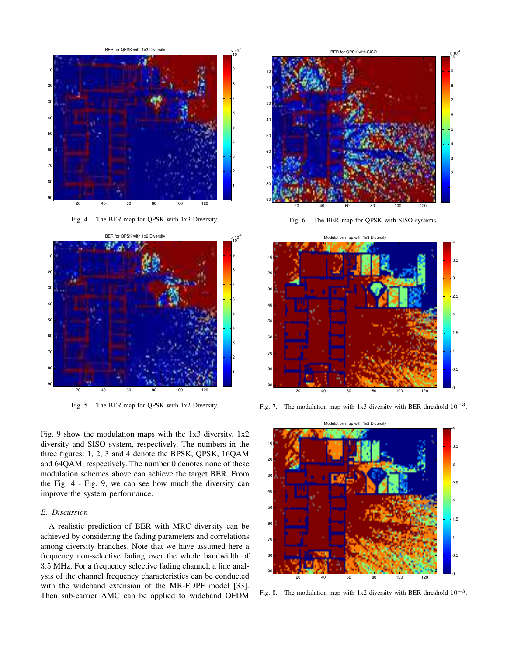

Fig. 4. The BER map for QPSK with 1x3 Diversity.



Fig. 5. The BER map for QPSK with 1x2 Diversity.

Fig. 9 show the modulation maps with the  $1x3$  diversity,  $1x2$ diversity and SISO system, respectively. The numbers in the three figures: 1, 2, 3 and 4 denote the BPSK, QPSK, 16QAM and 64QAM, respectively. The number 0 denotes none of these modulation schemes above can achieve the target BER. From the Fig. 4 - Fig. 9, we can see how much the diversity can improve the system performance.

#### *E. Discussion*

A realistic prediction of BER with MRC diversity can be achieved by considering the fading parameters and correlations among diversity branches. Note that we have assumed here a frequency non-selective fading over the whole bandwidth of .5 MHz. For a frequency selective fading channel, a fine analysis of the channel frequency characteristics can be conducted with the wideband extension of the MR-FDPF model [33]. Then sub-carrier AMC can be applied to wideband OFDM



Fig. 6. The BER map for QPSK with SISO systems.



Fig. 7. The modulation map with 1x3 diversity with BER threshold  $10^{-3}$ .



Fig. 8. The modulation map with 1x2 diversity with BER threshold  $10^{-3}$ .